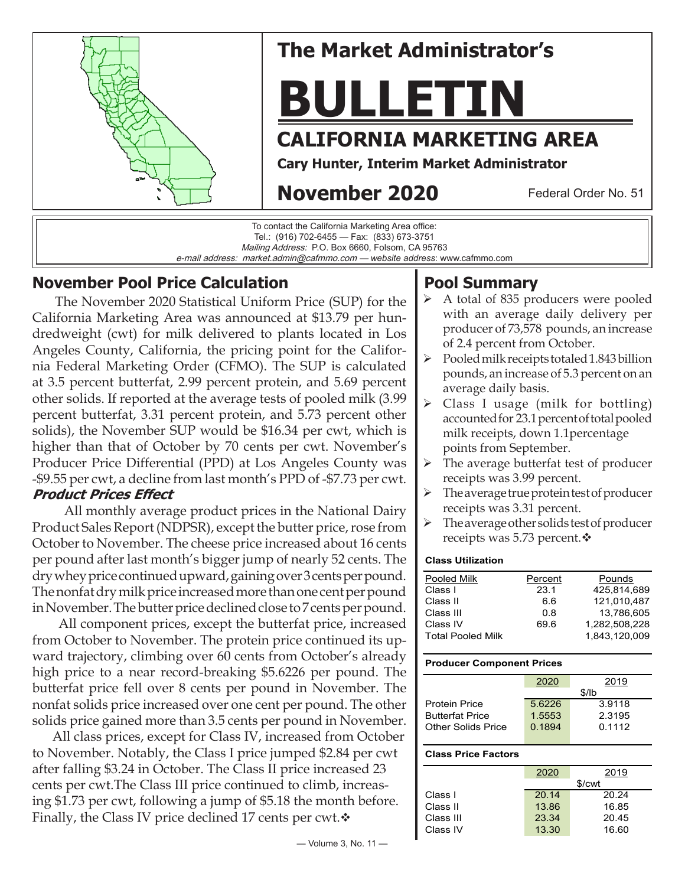

# **The Market Administrator's**

# **BULLETIN**

# **CALIFORNIA MARKETING AREA**

**Cary Hunter, Interim Market Administrator**

# **November 2020**

Federal Order No. 51



## **November Pool Price Calculation**

 The November 2020 Statistical Uniform Price (SUP) for the California Marketing Area was announced at \$13.79 per hundredweight (cwt) for milk delivered to plants located in Los Angeles County, California, the pricing point for the California Federal Marketing Order (CFMO). The SUP is calculated at 3.5 percent butterfat, 2.99 percent protein, and 5.69 percent other solids. If reported at the average tests of pooled milk (3.99 percent butterfat, 3.31 percent protein, and 5.73 percent other solids), the November SUP would be \$16.34 per cwt, which is higher than that of October by 70 cents per cwt. November's Producer Price Differential (PPD) at Los Angeles County was -\$9.55 per cwt, a decline from last month's PPD of -\$7.73 per cwt. **Product Prices Effect**

#### All monthly average product prices in the National Dairy Product Sales Report (NDPSR), except the butter price, rose from October to November. The cheese price increased about 16 cents per pound after last month's bigger jump of nearly 52 cents. The dry whey price continued upward, gaining over 3 cents per pound. The nonfat dry milk price increased more than one cent per pound in November. The butter price declined close to 7 cents per pound.

 All component prices, except the butterfat price, increased from October to November. The protein price continued its upward trajectory, climbing over 60 cents from October's already high price to a near record-breaking \$5.6226 per pound. The butterfat price fell over 8 cents per pound in November. The nonfat solids price increased over one cent per pound. The other solids price gained more than 3.5 cents per pound in November.

 All class prices, except for Class IV, increased from October to November. Notably, the Class I price jumped \$2.84 per cwt after falling \$3.24 in October. The Class II price increased 23 cents per cwt.The Class III price continued to climb, increasing \$1.73 per cwt, following a jump of \$5.18 the month before. Finally, the Class IV price declined 17 cents per cwt. $\mathbf{\hat{v}}$ 

#### pounds, an increase of 5.3 percent on an average daily basis.

**Pool Summary**

 $\triangleright$  Class I usage (milk for bottling) accounted for 23.1 percent of total pooled milk receipts, down 1.1percentage points from September.

 A total of 835 producers were pooled with an average daily delivery per producer of 73,578 pounds, an increase

 $\triangleright$  Pooled milk receipts totaled 1.843 billion

of 2.4 percent from October.

- $\triangleright$  The average butterfat test of producer receipts was 3.99 percent.
- $\triangleright$  The average true protein test of producer receipts was 3.31 percent.
- The average other solids test of producer receipts was 5.73 percent. $\mathbf{\hat{v}}$

#### **Class Utilization**

| Pooled Milk              | Percent | Pounds        |
|--------------------------|---------|---------------|
| Class I                  | 23.1    | 425.814.689   |
| Class II                 | 66      | 121.010.487   |
| Class III                | 0.8     | 13.786.605    |
| Class IV                 | 69.6    | 1.282.508.228 |
| <b>Total Pooled Milk</b> |         | 1.843.120.009 |
|                          |         |               |

#### **Producer Component Prices**

|                        | 2020   | 2019   |  |  |
|------------------------|--------|--------|--|--|
|                        | \$/lb  |        |  |  |
| <b>Protein Price</b>   | 56226  | 3.9118 |  |  |
| <b>Butterfat Price</b> | 1.5553 | 2.3195 |  |  |
| Other Solids Price     | 0.1894 | 0.1112 |  |  |
|                        |        |        |  |  |

#### **Class Price Factors**

| 2020  | 2019   |
|-------|--------|
|       | \$/cwt |
| 20.14 | 20.24  |
| 13.86 | 16.85  |
| 23.34 | 20.45  |
| 13.30 | 16.60  |
|       |        |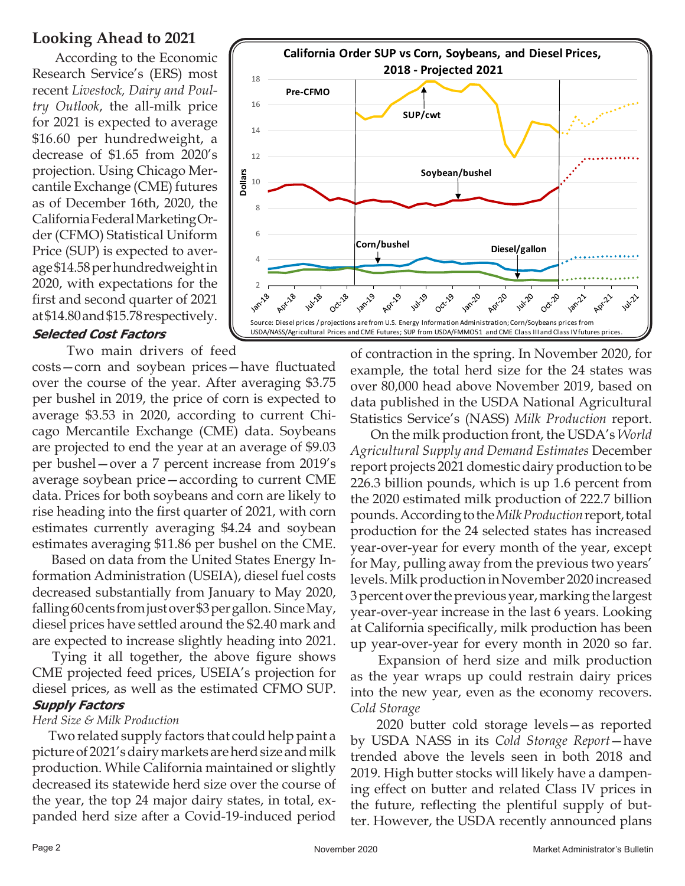### **Looking Ahead to 2021**

 According to the Economic Research Service's (ERS) most recent *Livestock, Dairy and Poultry Outlook*, the all-milk price for 2021 is expected to average \$16.60 per hundredweight, a decrease of \$1.65 from 2020's projection. Using Chicago Mercantile Exchange (CME) futures as of December 16th, 2020, the California Federal Marketing Order (CFMO) Statistical Uniform Price (SUP) is expected to average \$14.58 per hundredweight in 2020, with expectations for the first and second quarter of 2021 at \$14.80 and \$15.78 respectively.

#### **Selected Cost Factors**

Two main drivers of feed

costs—corn and soybean prices—have fluctuated over the course of the year. After averaging \$3.75 per bushel in 2019, the price of corn is expected to average \$3.53 in 2020, according to current Chicago Mercantile Exchange (CME) data. Soybeans are projected to end the year at an average of \$9.03 per bushel—over a 7 percent increase from 2019's average soybean price—according to current CME data. Prices for both soybeans and corn are likely to rise heading into the first quarter of 2021, with corn estimates currently averaging \$4.24 and soybean estimates averaging \$11.86 per bushel on the CME.

 Based on data from the United States Energy Information Administration (USEIA), diesel fuel costs decreased substantially from January to May 2020, falling 60 cents from just over \$3 per gallon. Since May, diesel prices have settled around the \$2.40 mark and are expected to increase slightly heading into 2021.

 Tying it all together, the above figure shows CME projected feed prices, USEIA's projection for diesel prices, as well as the estimated CFMO SUP. **Supply Factors**

#### *Herd Size & Milk Production*

 Two related supply factors that could help paint a picture of 2021's dairy markets areherd size andmilk production. While California maintained or slightly decreased its statewide herd size over the course of the year, the top 24 major dairy states, in total, expanded herd size after a Covid-19-induced period



of contraction in the spring. In November 2020, for example, the total herd size for the 24 states was over 80,000 head above November 2019, based on data published in the USDA National Agricultural Statistics Service's (NASS) *Milk Production* report.

 On the milk production front, the USDA's *World Agricultural Supply and Demand Estimates* December report projects 2021 domestic dairy production to be 226.3 billion pounds, which is up 1.6 percent from the 2020 estimated milk production of 222.7 billion pounds. According to the *Milk Production* report, total production for the 24 selected states has increased year-over-year for every month of the year, except for May, pulling away from the previous two years' levels. Milk production in November 2020 increased 3 percent over the previous year, marking the largest year-over-year increase in the last 6 years. Looking at California specifically, milk production has been up year-over-year for every month in 2020 so far.

 Expansion of herd size and milk production as the year wraps up could restrain dairy prices into the new year, even as the economy recovers. *Cold Storage*

 2020 butter cold storage levels—as reported by USDA NASS in its *Cold Storage Report*—have trended above the levels seen in both 2018 and 2019. High butter stocks will likely have a dampening effect on butter and related Class IV prices in the future, reflecting the plentiful supply of butter. However, the USDA recently announced plans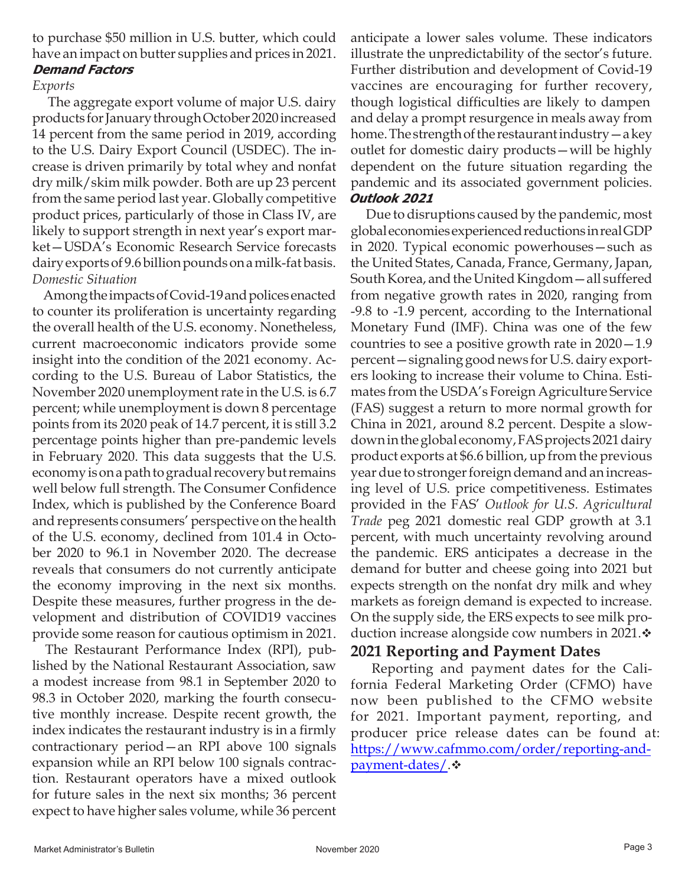to purchase \$50 million in U.S. butter, which could have an impact on butter supplies and prices in 2021. **Demand Factors**

## *Exports*

 The aggregate export volume of major U.S. dairy products for January through October 2020 increased 14 percent from the same period in 2019, according to the U.S. Dairy Export Council (USDEC). The increase is driven primarily by total whey and nonfat dry milk/skim milk powder. Both are up 23 percent from the same period last year. Globally competitive product prices, particularly of those in Class IV, are likely to support strength in next year's export market—USDA's Economic Research Service forecasts dairy exports of 9.6 billion pounds on a milk-fat basis. *Domestic Situation* 

 Among the impacts of Covid-19 and polices enacted to counter its proliferation is uncertainty regarding the overall health of the U.S. economy. Nonetheless, current macroeconomic indicators provide some insight into the condition of the 2021 economy. According to the U.S. Bureau of Labor Statistics, the November 2020 unemployment rate in the U.S. is 6.7 percent; while unemployment is down 8 percentage points from its 2020 peak of 14.7 percent, it is still 3.2 percentage points higher than pre-pandemic levels in February 2020. This data suggests that the U.S. economy is on a path to gradual recovery but remains well below full strength. The Consumer Confidence Index, which is published by the Conference Board and represents consumers' perspective on the health of the U.S. economy, declined from 101.4 in October 2020 to 96.1 in November 2020. The decrease reveals that consumers do not currently anticipate the economy improving in the next six months. Despite these measures, further progress in the development and distribution of COVID19 vaccines provide some reason for cautious optimism in 2021.

 The Restaurant Performance Index (RPI), published by the National Restaurant Association, saw a modest increase from 98.1 in September 2020 to 98.3 in October 2020, marking the fourth consecutive monthly increase. Despite recent growth, the index indicates the restaurant industry is in a firmly contractionary period—an RPI above 100 signals expansion while an RPI below 100 signals contraction. Restaurant operators have a mixed outlook for future sales in the next six months; 36 percent expect to have higher sales volume, while 36 percent

anticipate a lower sales volume. These indicators illustrate the unpredictability of the sector's future. Further distribution and development of Covid-19 vaccines are encouraging for further recovery, though logistical difficulties are likely to dampen and delay a prompt resurgence in meals away from home. The strength of the restaurant industry—a key outlet for domestic dairy products—will be highly dependent on the future situation regarding the pandemic and its associated government policies. **Outlook 2021** 

Due to disruptions caused by the pandemic, most global economies experienced reductions in real GDP in 2020. Typical economic powerhouses—such as the United States, Canada, France, Germany, Japan, South Korea, and the United Kingdom—all suffered from negative growth rates in 2020, ranging from -9.8 to -1.9 percent, according to the International Monetary Fund (IMF). China was one of the few countries to see a positive growth rate in 2020—1.9 percent—signaling good news for U.S. dairy exporters looking to increase their volume to China. Estimates from the USDA's Foreign Agriculture Service (FAS) suggest a return to more normal growth for China in 2021, around 8.2 percent. Despite a slowdown in the global economy, FAS projects 2021 dairy product exports at \$6.6 billion, up from the previous year due to stronger foreign demand and an increasing level of U.S. price competitiveness. Estimates provided in the FAS' *Outlook for U.S. Agricultural Trade* peg 2021 domestic real GDP growth at 3.1 percent, with much uncertainty revolving around the pandemic. ERS anticipates a decrease in the demand for butter and cheese going into 2021 but expects strength on the nonfat dry milk and whey markets as foreign demand is expected to increase. On the supply side, the ERS expects to see milk production increase alongside cow numbers in 2021. $\div$ 

#### **2021 Reporting and Payment Dates**

 Reporting and payment dates for the California Federal Marketing Order (CFMO) have now been published to the CFMO website for 2021. Important payment, reporting, and producer price release dates can be found at: [https://www.cafmmo.com/order/reporting-and](https://www.cafmmo.com/order/reporting-and-payment-dates/)payment-dates/ $\cdot$